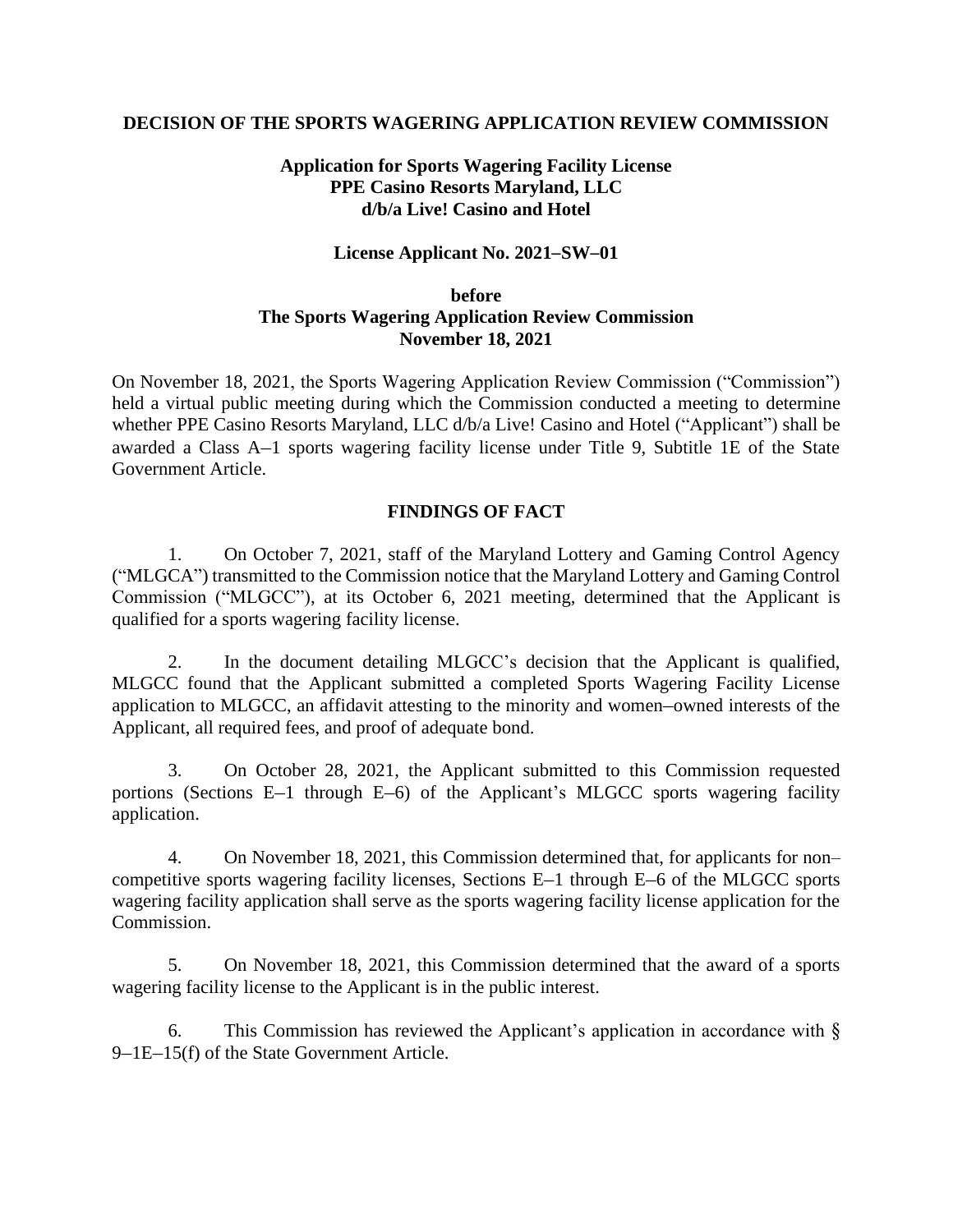#### **DECISION OF THE SPORTS WAGERING APPLICATION REVIEW COMMISSION**

# **Application for Sports Wagering Facility License PPE Casino Resorts Maryland, LLC d/b/a Live! Casino and Hotel**

#### **License Applicant No. 2021–SW–01**

# **before The Sports Wagering Application Review Commission November 18, 2021**

On November 18, 2021, the Sports Wagering Application Review Commission ("Commission") held a virtual public meeting during which the Commission conducted a meeting to determine whether PPE Casino Resorts Maryland, LLC d/b/a Live! Casino and Hotel ("Applicant") shall be awarded a Class A–1 sports wagering facility license under Title 9, Subtitle 1E of the State Government Article.

### **FINDINGS OF FACT**

1. On October 7, 2021, staff of the Maryland Lottery and Gaming Control Agency ("MLGCA") transmitted to the Commission notice that the Maryland Lottery and Gaming Control Commission ("MLGCC"), at its October 6, 2021 meeting, determined that the Applicant is qualified for a sports wagering facility license.

2. In the document detailing MLGCC's decision that the Applicant is qualified, MLGCC found that the Applicant submitted a completed Sports Wagering Facility License application to MLGCC, an affidavit attesting to the minority and women–owned interests of the Applicant, all required fees, and proof of adequate bond.

3. On October 28, 2021, the Applicant submitted to this Commission requested portions (Sections E–1 through E–6) of the Applicant's MLGCC sports wagering facility application.

4. On November 18, 2021, this Commission determined that, for applicants for non– competitive sports wagering facility licenses, Sections E–1 through E–6 of the MLGCC sports wagering facility application shall serve as the sports wagering facility license application for the Commission.

5. On November 18, 2021, this Commission determined that the award of a sports wagering facility license to the Applicant is in the public interest.

6. This Commission has reviewed the Applicant's application in accordance with § 9–1E–15(f) of the State Government Article.